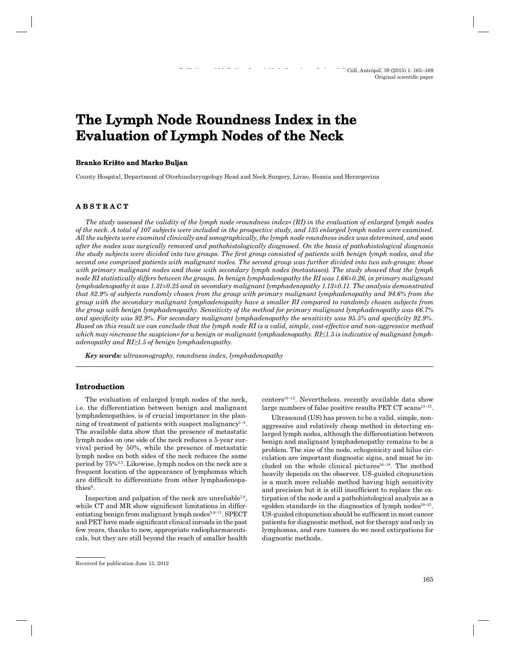# **The Lymph Node Roundness Index in the Evaluation of Lymph Nodes of the Neck**

#### **Branko Krišto and Marko Buljan ranko**

County Hospital, Department of Otorhinolaryngology Head and Neck Surgery, Livno, Bosnia and Herzegovina

# **ABSTRACT B S T R A C T**

*The study assessed the validity of the lymph node »roundness index« (RI) in the evaluation of enlarged lymph nodes of the neck. A total of 107 subjects were included in the prospective study, and 135 enlarged lymph nodes were examined. All the subjects were examined clinically and sonographically, the lymph node roundness index was determined, and soon after the nodes was surgically removed and pathohistologically diagnosed. On the basis of pathohistological diagnosis the study subjects were divided into two groups. The first group consisted of patients with benign lymph nodes, and the second one comprised patients with malignant nodes. The second group was further divided into two sub-groups: those with primary malignant nodes and those with secondary lymph nodes (metastases). The study showed that the lymph node RI statistically differs between the groups. In benign lymphadenopathy the RI was 1.66±0.26, in primary malignant lymphadenopathy it was 1.31±0.25 and in secondary malignant lymphadenopathy 1.13±0.11. The analysis demonstrated that 82.9% of subjects randomly chosen from the group with primary malignant lymphadenopathy and 94.6% from the group with the secondary malignant lymphadenopathy have a smaller RI compared to randomly chosen subjects from the group with benign lymphadenopathy. Sensitivity of the method for primary malignant lymphadenopathy was 66.7%*  and specificity was 92.9%. For secondary malignant lymphadenopathy the sensitivity was 95.5% and specificity 92.9%. *Based on this result we can conclude that the lymph node RI is a valid, simple, cost-effective and non-aggressive method which may »increase the suspicion« for a benign or malignant lymphadenopathy. RI≤1.5 is indicative of malignant lymphadenopathy and RI≥1.5 of benign lymphadenopathy.*

*Key words: ultrasonography, roundness index, lymphadenopathy*

#### **Introduction ntroduction**

The evaluation of enlarged lymph nodes of the neck, i.e. the differentiation between benign and malignant lymphadenopathies, is of crucial importance in the planning of treatment of patients with suspect malignancy $1-5$ . The available data show that the presence of metastatic lymph nodes on one side of the neck reduces a 5-year survival period by 50%, while the presence of metastatic lymph nodes on both sides of the neck reduces the same period by 75%3,5. Likewise, lymph nodes on the neck are a frequent location of the appearance of lymphomas which are difficult to differentiate from other lymphadenopathies<sup>6</sup>.

Inspection and palpation of the neck are unreliable<sup>7,8</sup>, while CT and MR show significant limitations in differentiating benign from malignant lymph nodes $5,9-11$ . SPECT and PET have made significant clinical inroads in the past few years, thanks to new, appropriate radiopharmaceuticals, but they are still beyond the reach of smaller health centers10–12. Nevertheless, recently available data show large numbers of false positive results PET CT scans<sup>13-15</sup>.

Ultrasound (US) has proven to be a valid, simple, nonaggressive and relatively cheap method in detecting enlarged lymph nodes, although the differentiation between benign and malignant lymphadenopathy remains to be a problem. The size of the node, echogenicity and hilus circulation are important diagnostic signs, and must be included on the whole clinical pictures<sup>16-18</sup>. The method heavily depends on the observer. US-guided citopunction is a much more reliable method having high sensitivity and precision but it is still insufficient to replace the extirpation of the node and a pathohistological analysis as a »golden standard« in the diagnostics of lymph nodes $19-21$ . US-guided citopunction should be sufficient in most cancer patients for diagnostic method, not for therapy and only in lymphomas, and rare tumors do we need extirpations for diagnostic methods.

Received for publication June 15, 2012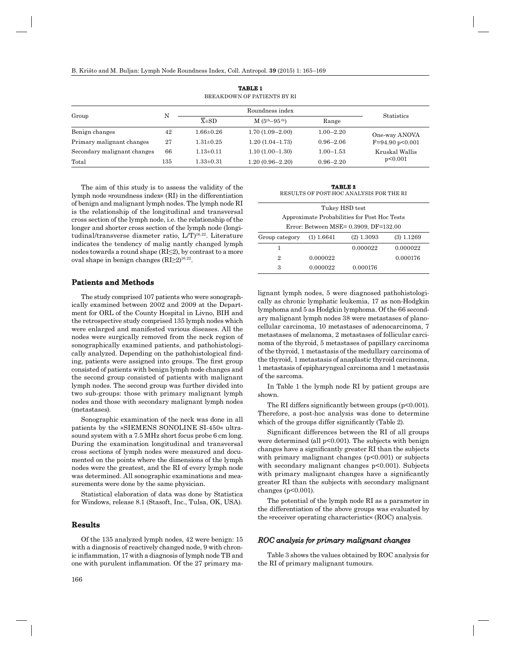| BREAKDOWN OF PATIENTS BY RI |     |                       |                     |               |                   |
|-----------------------------|-----|-----------------------|---------------------|---------------|-------------------|
| Group                       | N   | Roundness index       |                     |               |                   |
|                             |     | $\overline{X} \pm SD$ | $M (5th-95th)$      | Range         | <b>Statistics</b> |
| Benign changes              | 42  | $1.66 \pm 0.26$       | $1.70(1.09-2.00)$   | $1.00 - 2.20$ | One-way ANOVA     |
| Primary malignant changes   | 27  | $1.31 \pm 0.25$       | $1.20(1.04-1.73)$   | $0.96 - 2.06$ | $F=94.90 p<0.001$ |
| Secondary malignant changes | 66  | $1.13 \pm 0.11$       | $1.10(1.00-1.30)$   | $1.00 - 1.53$ | Kruskal Wallis    |
| Total                       | 135 | $1.33 \pm 0.31$       | $1.20(0.96 - 2.20)$ | $0.96 - 2.20$ | p<0.001           |

**TABLE 1**

The aim of this study is to assess the validity of the lymph node »roundness index« (RI) in the differentiation of benign and malignant lymph nodes. The lymph node RI is the relationship of the longitudinal and transversal cross section of the lymph node, i.e. the relationship of the longer and shorter cross section of the lymph node (longitudinal/transverse diameter ratio, L/T)<sup>16,22</sup>. Literature indicates the tendency of malig nantly changed lymph nodes towards a round shape (RI≤2), by contrast to a more oval shape in benign changes (RI≥2)16,22.

#### **Patients and Methods atients**

The study comprised 107 patients who were sonographically examined between 2002 and 2009 at the Department for ORL of the County Hospital in Livno, BIH and the retrospective study comprised 135 lymph nodes which were enlarged and manifested various diseases. All the nodes were surgically removed from the neck region of sonographically examined patients, and pathohistologically analyzed. Depending on the pathohistological finding, patients were assigned into groups. The first group consisted of patients with benign lymph node changes and the second group consisted of patients with malignant lymph nodes. The second group was further divided into two sub-groups: those with primary malignant lymph nodes and those with secondary malignant lymph nodes (metastases).

Sonographic examination of the neck was done in all patients by the »SIEMENS SONOLINE SI-450« ultrasound system with a 7.5 MHz short focus probe 6 cm long. During the examination longitudinal and transversal cross sections of lymph nodes were measured and documented on the points where the dimensions of the lymph nodes were the greatest, and the RI of every lymph node was determined. All sonographic examinations and measurements were done by the same physician.

Statistical elaboration of data was done by Statistica for Windows, release 8.1 (Stasoft, Inc., Tulsa, OK, USA).

# **Results**

Of the 135 analyzed lymph nodes, 42 were benign: 15 with a diagnosis of reactively changed node, 9 with chronic inflammation, 17 with a diagnosis of lymph node TB and one with purulent inflammation. Of the 27 primary ma-

**TABLE 2** RESULTS OF POST-HOC ANALYSIS FOR THE RI

| Tukey HSD test                               |          |              |              |  |
|----------------------------------------------|----------|--------------|--------------|--|
| Approximate Probabilities for Post Hoc Tests |          |              |              |  |
| Error: Between MSE= 0.3909, DF=132.00        |          |              |              |  |
| Group category $(1)$ 1.6641                  |          | $(2)$ 1.3093 | $(3)$ 1.1269 |  |
| 1                                            |          | 0.000022     | 0.000022     |  |
| 2                                            | 0.000022 |              | 0.000176     |  |
| 3                                            | 0.000022 | 0.000176     |              |  |
|                                              |          |              |              |  |

lignant lymph nodes, 5 were diagnosed pathohistologically as chronic lymphatic leukemia, 17 as non-Hodgkin lymphoma and 5 as Hodgkin lymphoma. Of the 66 secondary malignant lymph nodes 38 were metastases of planocellular carcinoma, 10 metastases of adenocarcinoma, 7 metastases of melanoma, 2 metastases of follicular carcinoma of the thyroid, 5 metastases of papillary carcinoma of the thyroid, 1 metastasis of the medullary carcinoma of the thyroid, 1 metastasis of anaplastic thyroid carcinoma, 1 metastasis of epipharyngeal carcinoma and 1 metastasis of the sarcoma.

In Table 1 the lymph node RI by patient groups are shown.

The RI differs significantly between groups ( $p<0.001$ ). Therefore, a post-hoc analysis was done to determine which of the groups differ significantly (Table 2).

Significant differences between the RI of all groups were determined (all p<0.001). The subjects with benign changes have a significantly greater RI than the subjects with primary malignant changes  $(p<0.001)$  or subjects with secondary malignant changes p<0.001). Subjects with primary malignant changes have a significantly greater RI than the subjects with secondary malignant changes (p<0.001).

The potential of the lymph node RI as a parameter in the differentiation of the above groups was evaluated by the »receiver operating characteristic« (ROC) analysis.

# *ROC analysis for primary malignant changes*

Table 3 shows the values obtained by ROC analysis for the RI of primary malignant tumours.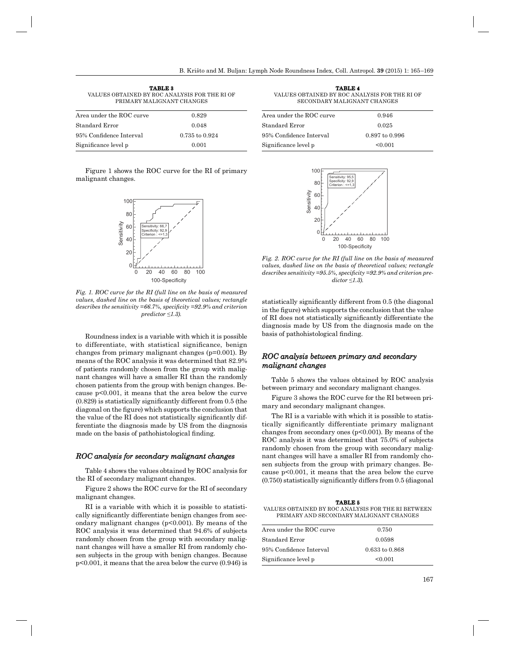| <b>TABLE 3</b><br>VALUES OBTAINED BY ROC ANALYSIS FOR THE RI OF<br>PRIMARY MALIGNANT CHANGES |                |  |  |  |
|----------------------------------------------------------------------------------------------|----------------|--|--|--|
| Area under the ROC curve                                                                     | 0.829          |  |  |  |
| Standard Error                                                                               | 0.048          |  |  |  |
| 95% Confidence Interval                                                                      | 0.735 to 0.924 |  |  |  |
| Significance level p                                                                         | 0.001          |  |  |  |

Figure 1 shows the ROC curve for the RI of primary malignant changes.



*Fig. 1. ROC curve for the RI (full line on the basis of measured values, dashed line on the basis of theoretical values; rectangle describes the sensitivity* =66.7%, *specificity* =92.9% and criterion *predictor ≤1.3).*

Roundness index is a variable with which it is possible to differentiate, with statistical significance, benign changes from primary malignant changes (p=0.001). By means of the ROC analysis it was determined that 82.9% of patients randomly chosen from the group with malignant changes will have a smaller RI than the randomly chosen patients from the group with benign changes. Because p<0.001, it means that the area below the curve  $(0.829)$  is statistically significantly different from 0.5 (the diagonal on the figure) which supports the conclusion that the value of the RI does not statistically significantly differentiate the diagnosis made by US from the diagnosis made on the basis of pathohistological finding.

#### *ROC analysis for secondary malignant changes*

Table 4 shows the values obtained by ROC analysis for the RI of secondary malignant changes.

Figure 2 shows the ROC curve for the RI of secondary malignant changes.

RI is a variable with which it is possible to statistically significantly differentiate benign changes from secondary malignant changes (p<0.001). By means of the ROC analysis it was determined that 94.6% of subjects randomly chosen from the group with secondary malignant changes will have a smaller RI from randomly chosen subjects in the group with benign changes. Because p<0.001, it means that the area below the curve (0.946) is

| <b>TABLE 4</b>                                |  |  |  |  |
|-----------------------------------------------|--|--|--|--|
| VALUES OBTAINED BY ROC ANALYSIS FOR THE RI OF |  |  |  |  |
| SECONDARY MALIGNANT CHANGES                   |  |  |  |  |
|                                               |  |  |  |  |
|                                               |  |  |  |  |

| Area under the ROC curve | 0.946              |  |
|--------------------------|--------------------|--|
| Standard Error           | 0.025              |  |
| 95% Confidence Interval  | $0.897$ to $0.996$ |  |
| Significance level p     | < 0.001            |  |



*Fig. 2. ROC curve for the RI (full line on the basis of measured values, dashed line on the basis of theoretical values; rectangle*  describes sensitivity =95.5%, specificity =92.9% and criterion pre*dictor ≤1.3).*

statistically significantly different from 0.5 (the diagonal in the figure) which supports the conclusion that the value of RI does not statistically significantly differentiate the diagnosis made by US from the diagnosis made on the basis of pathohistological finding.

# *ROC analysis between primary and secondary malignant changes alignant*

Table 5 shows the values obtained by ROC analysis between primary and secondary malignant changes.

Figure 3 shows the ROC curve for the RI between primary and secondary malignant changes.

The RI is a variable with which it is possible to statistically significantly differentiate primary malignant changes from secondary ones  $(p<0.001)$ . By means of the ROC analysis it was determined that 75.0% of subjects randomly chosen from the group with secondary malignant changes will have a smaller RI from randomly chosen subjects from the group with primary changes. Because p<0.001, it means that the area below the curve  $(0.750)$  statistically significantly differs from  $0.5$  (diagonal

**TABLE 5** VALUES OBTAINED BY ROC ANALYSIS FOR THE RI BETWEEN PRIMARY AND SECONDARY MALIGNANT CHANGES

| Area under the ROC curve | 0.750          |  |
|--------------------------|----------------|--|
| Standard Error           | 0.0598         |  |
| 95% Confidence Interval  | 0.633 to 0.868 |  |
| Significance level p     | < 0.001        |  |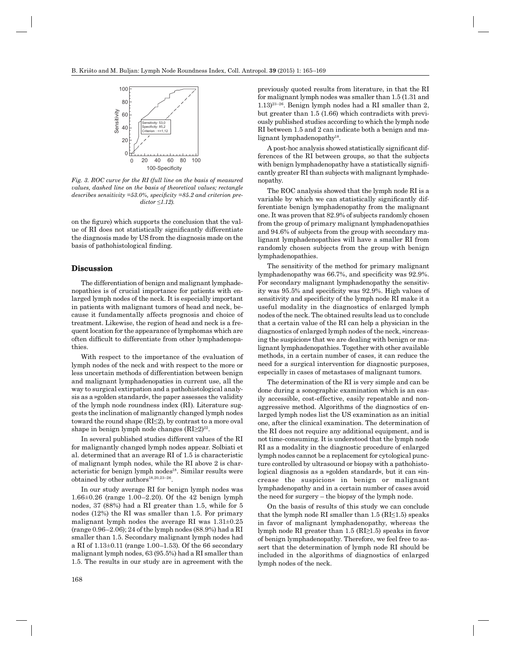

*Fig. 3. ROC curve for the RI (full line on the basis of measured values, dashed line on the basis of theoretical values; rectangle*  describes sensitivity =53.0%, specificity =85.2 and criterion pre*dictor ≤1.12).*

on the figure) which supports the conclusion that the value of RI does not statistically significantly differentiate the diagnosis made by US from the diagnosis made on the basis of pathohistological finding.

### **Discussion iscussion**

The differentiation of benign and malignant lymphadenopathies is of crucial importance for patients with enlarged lymph nodes of the neck. It is especially important in patients with malignant tumors of head and neck, because it fundamentally affects prognosis and choice of treatment. Likewise, the region of head and neck is a frequent location for the appearance of lymphomas which are often difficult to differentiate from other lymphadenopathies.

With respect to the importance of the evaluation of lymph nodes of the neck and with respect to the more or less uncertain methods of differentiation between benign and malignant lymphadenopaties in current use, all the way to surgical extirpation and a pathohistological analysis as a »golden standard«, the paper assesses the validity of the lymph node roundness index (RI). Literature suggests the inclination of malignantly changed lymph nodes toward the round shape  $(RI\leq 2)$ , by contrast to a more oval shape in benign lymph node changes  $(RI≥2)^{22}$ .

In several published studies different values of the RI for malignantly changed lymph nodes appear. Solbiati et al. determined that an average RI of 1.5 is characteristic of malignant lymph nodes, while the RI above 2 is characteristic for benign lymph nodes<sup>18</sup>. Similar results were obtained by other authors<sup>18,20,23-26</sup>.

In our study average RI for benign lymph nodes was 1.66±0.26 (range 1.00–2.20). Of the 42 benign lymph nodes, 37 (88%) had a RI greater than 1.5, while for 5 nodes (12%) the RI was smaller than 1.5. For primary malignant lymph nodes the average RI was  $1.31\pm0.25$ (range 0.96–2.06); 24 of the lymph nodes (88.9%) had a RI smaller than 1.5. Secondary malignant lymph nodes had a RI of 1.13±0.11 (range 1.00–1.53). Of the 66 secondary malignant lymph nodes, 63 (95.5%) had a RI smaller than 1.5. The results in our study are in agreement with the

previously quoted results from literature, in that the RI for malignant lymph nodes was smaller than 1.5 (1.31 and  $1.13$ )<sup>23–26</sup>. Benign lymph nodes had a RI smaller than 2, but greater than 1.5 (1.66) which contradicts with previously published studies according to which the lymph node RI between 1.5 and 2 can indicate both a benign and malignant lymphadenopathy<sup>18</sup>.

A post-hoc analysis showed statistically significant differences of the RI between groups, so that the subjects with benign lymphadenopathy have a statistically significantly greater RI than subjects with malignant lymphadenopathy.

The ROC analysis showed that the lymph node RI is a variable by which we can statistically significantly differentiate benign lymphadenopathy from the malignant one. It was proven that 82.9% of subjects randomly chosen from the group of primary malignant lymphadenopathies and 94.6% of subjects from the group with secondary malignant lymphadenopathies will have a smaller RI from randomly chosen subjects from the group with benign lymphadenopathies.

The sensitivity of the method for primary malignant lymphadenopathy was 66.7%, and specificity was 92.9%. For secondary malignant lymphadenopathy the sensitivity was  $95.5\%$  and specificity was  $92.9\%$ . High values of sensitivity and specificity of the lymph node RI make it a useful modality in the diagnostics of enlarged lymph nodes of the neck. The obtained results lead us to conclude that a certain value of the RI can help a physician in the diagnostics of enlarged lymph nodes of the neck, »increasing the suspicion« that we are dealing with benign or malignant lymphadenopathies. Together with other available methods, in a certain number of cases, it can reduce the need for a surgical intervention for diagnostic purposes, especially in cases of metastases of malignant tumors.

The determination of the RI is very simple and can be done during a sonographic examination which is an easily accessible, cost-effective, easily repeatable and nonaggressive method. Algorithms of the diagnostics of enlarged lymph nodes list the US examination as an initial one, after the clinical examination. The determination of the RI does not require any additional equipment, and is not time-consuming. It is understood that the lymph node RI as a modality in the diagnostic procedure of enlarged lymph nodes cannot be a replacement for cytological puncture controlled by ultrasound or biopsy with a pathohistological diagnosis as a »golden standard«, but it can »increase the suspicion« in benign or malignant lymphadenopathy and in a certain number of cases avoid the need for surgery – the biopsy of the lymph node.

On the basis of results of this study we can conclude that the lymph node RI smaller than  $1.5$  (RI $\leq$ 1.5) speaks in favor of malignant lymphadenopathy, whereas the lymph node RI greater than 1.5 (RI≥1.5) speaks in favor of benign lymphadenopathy. Therefore, we feel free to assert that the determination of lymph node RI should be included in the algorithms of diagnostics of enlarged lymph nodes of the neck.